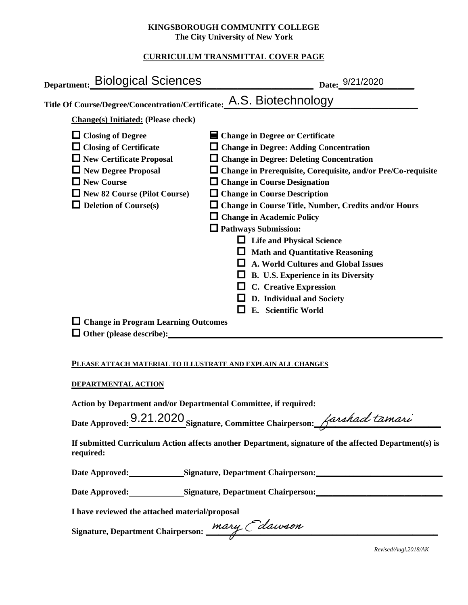## **KINGSBOROUGH COMMUNITY COLLEGE The City University of New York**

## **CURRICULUM TRANSMITTAL COVER PAGE**

| Department: Biological Sciences                                                                                                                                                                          | Date:_9/21/2020                                                                                                                                                                                                                                                                                                                                                                                                                                                                                                                                                                                                                      |  |  |  |  |
|----------------------------------------------------------------------------------------------------------------------------------------------------------------------------------------------------------|--------------------------------------------------------------------------------------------------------------------------------------------------------------------------------------------------------------------------------------------------------------------------------------------------------------------------------------------------------------------------------------------------------------------------------------------------------------------------------------------------------------------------------------------------------------------------------------------------------------------------------------|--|--|--|--|
| Title Of Course/Degree/Concentration/Certificate: A.S. Biotechnology                                                                                                                                     |                                                                                                                                                                                                                                                                                                                                                                                                                                                                                                                                                                                                                                      |  |  |  |  |
| <b>Change(s)</b> Initiated: (Please check)                                                                                                                                                               |                                                                                                                                                                                                                                                                                                                                                                                                                                                                                                                                                                                                                                      |  |  |  |  |
| $\Box$ Closing of Degree<br>$\Box$ Closing of Certificate<br>$\Box$ New Certificate Proposal<br>New Degree Proposal<br>$\Box$ New Course<br>New 82 Course (Pilot Course)<br>$\Box$ Deletion of Course(s) | ■ Change in Degree or Certificate<br>$\Box$ Change in Degree: Adding Concentration<br>$\Box$ Change in Degree: Deleting Concentration<br>$\Box$ Change in Prerequisite, Corequisite, and/or Pre/Co-requisite<br>$\Box$ Change in Course Designation<br>$\Box$ Change in Course Description<br>□ Change in Course Title, Number, Credits and/or Hours<br>$\Box$ Change in Academic Policy<br><b>Q</b> Pathways Submission:<br><b>Life and Physical Science</b><br>$\Box$ Math and Quantitative Reasoning<br>$\Box$ A. World Cultures and Global Issues<br>$\Box$ B. U.S. Experience in its Diversity<br>$\Box$ C. Creative Expression |  |  |  |  |
|                                                                                                                                                                                                          | D. Individual and Society<br>E. Scientific World                                                                                                                                                                                                                                                                                                                                                                                                                                                                                                                                                                                     |  |  |  |  |
| $\Box$ Change in Program Learning Outcomes                                                                                                                                                               |                                                                                                                                                                                                                                                                                                                                                                                                                                                                                                                                                                                                                                      |  |  |  |  |
| PLEASE ATTACH MATERIAL TO ILLUSTRATE AND EXPLAIN ALL CHANGES<br>DEPARTMENTAL ACTION<br>Action by Department and/or Departmental Committee, if required:                                                  |                                                                                                                                                                                                                                                                                                                                                                                                                                                                                                                                                                                                                                      |  |  |  |  |
|                                                                                                                                                                                                          | Date Approved: 9.21.2020 Signature Committee Chairnerson: <i>Larshad tamari</i>                                                                                                                                                                                                                                                                                                                                                                                                                                                                                                                                                      |  |  |  |  |

| Date Approved: 9.21.2020 Signature, Committee Chairperson: 4 | . farshad tamari |
|--------------------------------------------------------------|------------------|
|                                                              |                  |

**If submitted Curriculum Action affects another Department, signature of the affected Department(s) is required:**

**Date Approved: Signature, Department Chairperson:\_\_\_\_\_\_\_\_\_\_\_\_\_\_\_\_\_\_\_\_\_\_\_\_\_\_\_\_\_\_** 

Date Approved: Signature, Department Chairperson: Network and Solven and Solven and Solven and Solven and Solven and Solven and Solven and Solven and Solven and Solven and Solven and Solven and Solven and Solven and Solven

**I have reviewed the attached material/proposal**

**Signature, Department Chairperson: \_\_\_\_\_\_\_\_\_\_\_\_\_\_\_\_\_\_\_\_\_\_\_\_\_\_\_\_\_\_\_\_\_\_\_\_\_\_\_\_\_\_\_\_\_\_\_\_\_\_\_\_\_\_\_**

*Revised/Augl.2018/AK*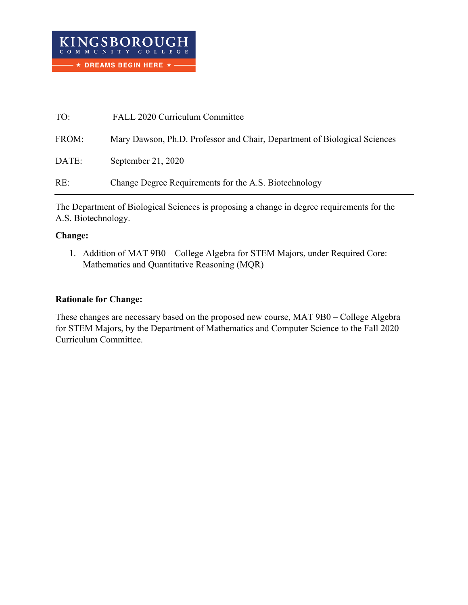| TO:   | FALL 2020 Curriculum Committee                                            |
|-------|---------------------------------------------------------------------------|
| FROM: | Mary Dawson, Ph.D. Professor and Chair, Department of Biological Sciences |
| DATE: | September 21, 2020                                                        |
| RE:   | Change Degree Requirements for the A.S. Biotechnology                     |

The Department of Biological Sciences is proposing a change in degree requirements for the A.S. Biotechnology.

## **Change:**

1. Addition of MAT 9B0 – College Algebra for STEM Majors, under Required Core: Mathematics and Quantitative Reasoning (MQR)

## **Rationale for Change:**

These changes are necessary based on the proposed new course, MAT 9B0 – College Algebra for STEM Majors, by the Department of Mathematics and Computer Science to the Fall 2020 Curriculum Committee.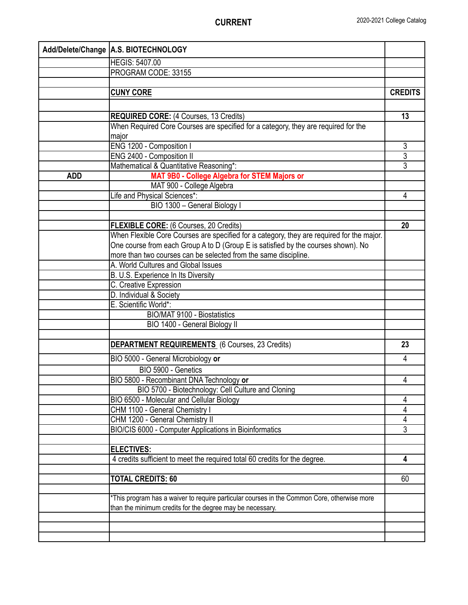|                       | Add/Delete/Change   A.S. BIOTECHNOLOGY                                                      |                |
|-----------------------|---------------------------------------------------------------------------------------------|----------------|
|                       | <b>HEGIS: 5407.00</b>                                                                       |                |
|                       | PROGRAM CODE: 33155                                                                         |                |
|                       |                                                                                             |                |
|                       | <b>CUNY CORE</b>                                                                            | <b>CREDITS</b> |
|                       |                                                                                             |                |
|                       | <b>REQUIRED CORE: (4 Courses, 13 Credits)</b>                                               | 13             |
|                       | When Required Core Courses are specified for a category, they are required for the          |                |
|                       | major                                                                                       |                |
|                       | ENG 1200 - Composition I                                                                    | $\mathfrak{Z}$ |
|                       | ENG 2400 - Composition II                                                                   | $\overline{3}$ |
|                       | Mathematical & Quantitative Reasoning*:                                                     | $\overline{3}$ |
| <b>ADD</b>            | MAT 9B0 - College Algebra for STEM Majors or                                                |                |
|                       | MAT 900 - College Algebra                                                                   |                |
|                       | Life and Physical Sciences*:                                                                | 4              |
|                       | BIO 1300 - General Biology I                                                                |                |
|                       |                                                                                             |                |
|                       | <b>FLEXIBLE CORE:</b> (6 Courses, 20 Credits)                                               | 20             |
|                       | When Flexible Core Courses are specified for a category, they are required for the major.   |                |
|                       | One course from each Group A to D (Group E is satisfied by the courses shown). No           |                |
|                       | more than two courses can be selected from the same discipline.                             |                |
|                       | A. World Cultures and Global Issues                                                         |                |
|                       | B. U.S. Experience In Its Diversity                                                         |                |
|                       | C. Creative Expression                                                                      |                |
|                       | D. Individual & Society                                                                     |                |
| E. Scientific World*: |                                                                                             |                |
|                       | BIO/MAT 9100 - Biostatistics<br>BIO 1400 - General Biology II                               |                |
|                       |                                                                                             |                |
|                       | <b>DEPARTMENT REQUIREMENTS</b> (6 Courses, 23 Credits)                                      | 23             |
|                       | BIO 5000 - General Microbiology or                                                          | 4              |
|                       | BIO 5900 - Genetics                                                                         |                |
|                       | BIO 5800 - Recombinant DNA Technology or                                                    | 4              |
|                       | BIO 5700 - Biotechnology: Cell Culture and Cloning                                          |                |
|                       | BIO 6500 - Molecular and Cellular Biology                                                   | 4              |
|                       | CHM 1100 - General Chemistry I                                                              | 4              |
|                       | CHM 1200 - General Chemistry II                                                             | 4              |
|                       | BIO/CIS 6000 - Computer Applications in Bioinformatics                                      | 3              |
|                       |                                                                                             |                |
|                       | <b>ELECTIVES:</b>                                                                           |                |
|                       | 4 credits sufficient to meet the required total 60 credits for the degree.                  | 4              |
|                       | <b>TOTAL CREDITS: 60</b>                                                                    | 60             |
|                       |                                                                                             |                |
|                       | *This program has a waiver to require particular courses in the Common Core, otherwise more |                |
|                       | than the minimum credits for the degree may be necessary.                                   |                |
|                       |                                                                                             |                |
|                       |                                                                                             |                |
|                       |                                                                                             |                |